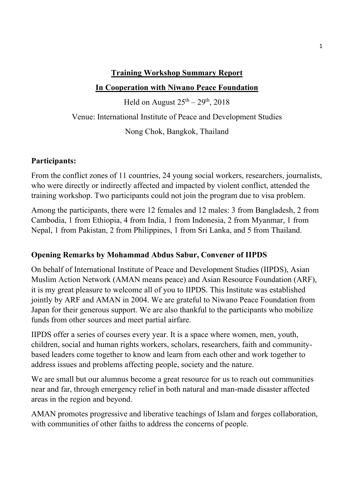### **Training Workshop Summary Report**

# **In Cooperation with Niwano Peace Foundation**

Held on August  $25<sup>th</sup> - 29<sup>th</sup>$ , 2018 Venue: International Institute of Peace and Development Studies Nong Chok, Bangkok, Thailand

# **Participants:**

From the conflict zones of 11 countries, 24 young social workers, researchers, journalists, who were directly or indirectly affected and impacted by violent conflict, attended the training workshop. Two participants could not join the program due to visa problem.

Among the participants, there were 12 females and 12 males: 3 from Bangladesh, 2 from Cambodia, 1 from Ethiopia, 4 from India, 1 from Indonesia, 2 from Myanmar, 1 from Nepal, 1 from Pakistan, 2 from Philippines, 1 from Sri Lanka, and 5 from Thailand.

# **Opening Remarks by Mohammad Abdus Sabur, Convener of IIPDS**

On behalf of International Institute of Peace and Development Studies (IIPDS), Asian Muslim Action Network (AMAN means peace) and Asian Resource Foundation (ARF), it is my great pleasure to welcome all of you to IIPDS. This Institute was established jointly by ARF and AMAN in 2004. We are grateful to Niwano Peace Foundation from Japan for their generous support. We are also thankful to the participants who mobilize funds from other sources and meet partial airfare.

IIPDS offer a series of courses every year. It is a space where women, men, youth, children, social and human rights workers, scholars, researchers, faith and communitybased leaders come together to know and learn from each other and work together to address issues and problems affecting people, society and the nature.

We are small but our alumnus become a great resource for us to reach out communities near and far, through emergency relief in both natural and man-made disaster affected areas in the region and beyond.

AMAN promotes progressive and liberative teachings of Islam and forges collaboration, with communities of other faiths to address the concerns of people.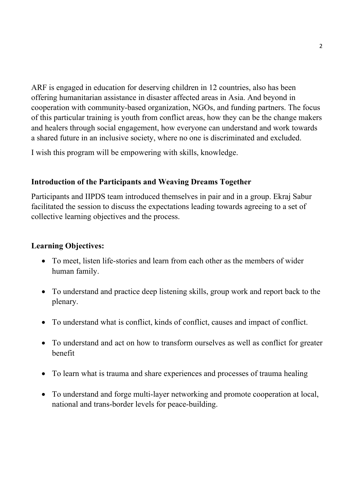ARF is engaged in education for deserving children in 12 countries, also has been offering humanitarian assistance in disaster affected areas in Asia. And beyond in cooperation with community-based organization, NGOs, and funding partners. The focus of this particular training is youth from conflict areas, how they can be the change makers and healers through social engagement, how everyone can understand and work towards a shared future in an inclusive society, where no one is discriminated and excluded.

I wish this program will be empowering with skills, knowledge.

### **Introduction of the Participants and Weaving Dreams Together**

Participants and IIPDS team introduced themselves in pair and in a group. Ekraj Sabur facilitated the session to discuss the expectations leading towards agreeing to a set of collective learning objectives and the process.

### **Learning Objectives:**

- To meet, listen life-stories and learn from each other as the members of wider human family.
- To understand and practice deep listening skills, group work and report back to the plenary.
- To understand what is conflict, kinds of conflict, causes and impact of conflict.
- To understand and act on how to transform ourselves as well as conflict for greater benefit
- To learn what is trauma and share experiences and processes of trauma healing
- To understand and forge multi-layer networking and promote cooperation at local, national and trans-border levels for peace-building.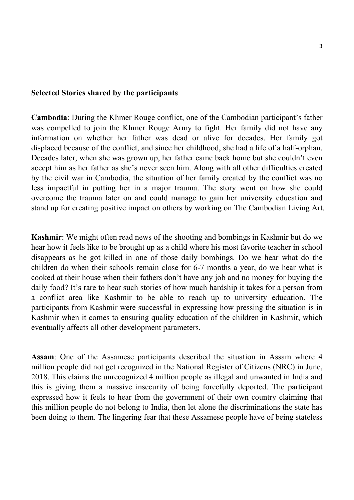#### **Selected Stories shared by the participants**

**Cambodia**: During the Khmer Rouge conflict, one of the Cambodian participant's father was compelled to join the Khmer Rouge Army to fight. Her family did not have any information on whether her father was dead or alive for decades. Her family got displaced because of the conflict, and since her childhood, she had a life of a half-orphan. Decades later, when she was grown up, her father came back home but she couldn't even accept him as her father as she's never seen him. Along with all other difficulties created by the civil war in Cambodia, the situation of her family created by the conflict was no less impactful in putting her in a major trauma. The story went on how she could overcome the trauma later on and could manage to gain her university education and stand up for creating positive impact on others by working on The Cambodian Living Art.

**Kashmir**: We might often read news of the shooting and bombings in Kashmir but do we hear how it feels like to be brought up as a child where his most favorite teacher in school disappears as he got killed in one of those daily bombings. Do we hear what do the children do when their schools remain close for 6-7 months a year, do we hear what is cooked at their house when their fathers don't have any job and no money for buying the daily food? It's rare to hear such stories of how much hardship it takes for a person from a conflict area like Kashmir to be able to reach up to university education. The participants from Kashmir were successful in expressing how pressing the situation is in Kashmir when it comes to ensuring quality education of the children in Kashmir, which eventually affects all other development parameters.

**Assam**: One of the Assamese participants described the situation in Assam where 4 million people did not get recognized in the National Register of Citizens (NRC) in June, 2018. This claims the unrecognized 4 million people as illegal and unwanted in India and this is giving them a massive insecurity of being forcefully deported. The participant expressed how it feels to hear from the government of their own country claiming that this million people do not belong to India, then let alone the discriminations the state has been doing to them. The lingering fear that these Assamese people have of being stateless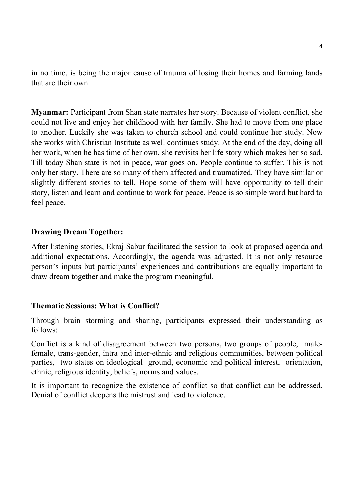in no time, is being the major cause of trauma of losing their homes and farming lands that are their own.

**Myanmar:** Participant from Shan state narrates her story. Because of violent conflict, she could not live and enjoy her childhood with her family. She had to move from one place to another. Luckily she was taken to church school and could continue her study. Now she works with Christian Institute as well continues study. At the end of the day, doing all her work, when he has time of her own, she revisits her life story which makes her so sad. Till today Shan state is not in peace, war goes on. People continue to suffer. This is not only her story. There are so many of them affected and traumatized. They have similar or slightly different stories to tell. Hope some of them will have opportunity to tell their story, listen and learn and continue to work for peace. Peace is so simple word but hard to feel peace.

### **Drawing Dream Together:**

After listening stories, Ekraj Sabur facilitated the session to look at proposed agenda and additional expectations. Accordingly, the agenda was adjusted. It is not only resource person's inputs but participants' experiences and contributions are equally important to draw dream together and make the program meaningful.

#### **Thematic Sessions: What is Conflict?**

Through brain storming and sharing, participants expressed their understanding as follows:

Conflict is a kind of disagreement between two persons, two groups of people, malefemale, trans-gender, intra and inter-ethnic and religious communities, between political parties, two states on ideological ground, economic and political interest, orientation, ethnic, religious identity, beliefs, norms and values.

It is important to recognize the existence of conflict so that conflict can be addressed. Denial of conflict deepens the mistrust and lead to violence.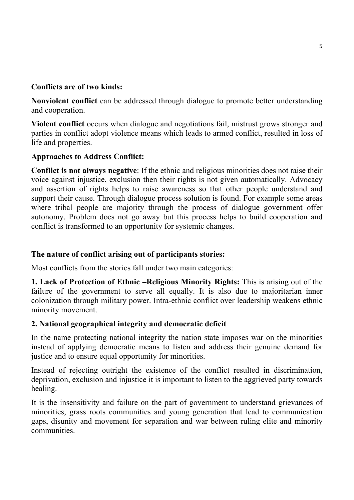### **Conflicts are of two kinds:**

**Nonviolent conflict** can be addressed through dialogue to promote better understanding and cooperation.

**Violent conflict** occurs when dialogue and negotiations fail, mistrust grows stronger and parties in conflict adopt violence means which leads to armed conflict, resulted in loss of life and properties.

### **Approaches to Address Conflict:**

**Conflict is not always negative**: If the ethnic and religious minorities does not raise their voice against injustice, exclusion then their rights is not given automatically. Advocacy and assertion of rights helps to raise awareness so that other people understand and support their cause. Through dialogue process solution is found. For example some areas where tribal people are majority through the process of dialogue government offer autonomy. Problem does not go away but this process helps to build cooperation and conflict is transformed to an opportunity for systemic changes.

### **The nature of conflict arising out of participants stories:**

Most conflicts from the stories fall under two main categories:

**1. Lack of Protection of Ethnic –Religious Minority Rights:** This is arising out of the failure of the government to serve all equally. It is also due to majoritarian inner colonization through military power. Intra-ethnic conflict over leadership weakens ethnic minority movement.

### **2. National geographical integrity and democratic deficit**

In the name protecting national integrity the nation state imposes war on the minorities instead of applying democratic means to listen and address their genuine demand for justice and to ensure equal opportunity for minorities.

Instead of rejecting outright the existence of the conflict resulted in discrimination, deprivation, exclusion and injustice it is important to listen to the aggrieved party towards healing.

It is the insensitivity and failure on the part of government to understand grievances of minorities, grass roots communities and young generation that lead to communication gaps, disunity and movement for separation and war between ruling elite and minority communities.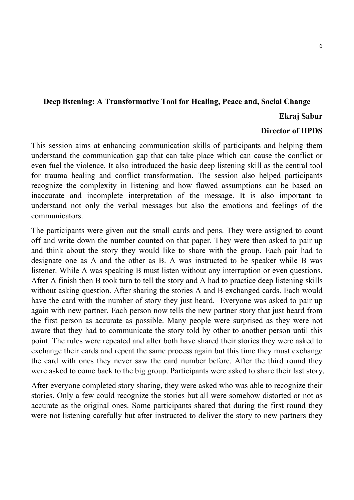### **Deep listening: A Transformative Tool for Healing, Peace and, Social Change**

### **Ekraj Sabur**

#### **Director of IIPDS**

This session aims at enhancing communication skills of participants and helping them understand the communication gap that can take place which can cause the conflict or even fuel the violence. It also introduced the basic deep listening skill as the central tool for trauma healing and conflict transformation. The session also helped participants recognize the complexity in listening and how flawed assumptions can be based on inaccurate and incomplete interpretation of the message. It is also important to understand not only the verbal messages but also the emotions and feelings of the communicators.

The participants were given out the small cards and pens. They were assigned to count off and write down the number counted on that paper. They were then asked to pair up and think about the story they would like to share with the group. Each pair had to designate one as A and the other as B. A was instructed to be speaker while B was listener. While A was speaking B must listen without any interruption or even questions. After A finish then B took turn to tell the story and A had to practice deep listening skills without asking question. After sharing the stories A and B exchanged cards. Each would have the card with the number of story they just heard. Everyone was asked to pair up again with new partner. Each person now tells the new partner story that just heard from the first person as accurate as possible. Many people were surprised as they were not aware that they had to communicate the story told by other to another person until this point. The rules were repeated and after both have shared their stories they were asked to exchange their cards and repeat the same process again but this time they must exchange the card with ones they never saw the card number before. After the third round they were asked to come back to the big group. Participants were asked to share their last story.

After everyone completed story sharing, they were asked who was able to recognize their stories. Only a few could recognize the stories but all were somehow distorted or not as accurate as the original ones. Some participants shared that during the first round they were not listening carefully but after instructed to deliver the story to new partners they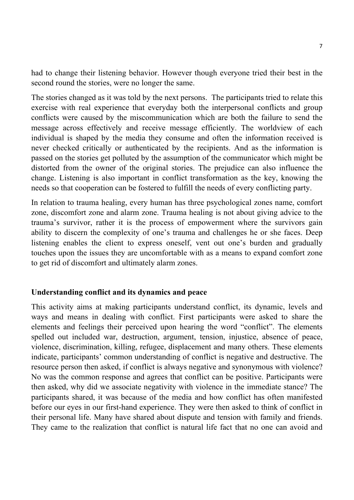had to change their listening behavior. However though everyone tried their best in the second round the stories, were no longer the same.

The stories changed as it was told by the next persons. The participants tried to relate this exercise with real experience that everyday both the interpersonal conflicts and group conflicts were caused by the miscommunication which are both the failure to send the message across effectively and receive message efficiently. The worldview of each individual is shaped by the media they consume and often the information received is never checked critically or authenticated by the recipients. And as the information is passed on the stories get polluted by the assumption of the communicator which might be distorted from the owner of the original stories. The prejudice can also influence the change. Listening is also important in conflict transformation as the key, knowing the needs so that cooperation can be fostered to fulfill the needs of every conflicting party.

In relation to trauma healing, every human has three psychological zones name, comfort zone, discomfort zone and alarm zone. Trauma healing is not about giving advice to the trauma's survivor, rather it is the process of empowerment where the survivors gain ability to discern the complexity of one's trauma and challenges he or she faces. Deep listening enables the client to express oneself, vent out one's burden and gradually touches upon the issues they are uncomfortable with as a means to expand comfort zone to get rid of discomfort and ultimately alarm zones.

#### **Understanding conflict and its dynamics and peace**

This activity aims at making participants understand conflict, its dynamic, levels and ways and means in dealing with conflict. First participants were asked to share the elements and feelings their perceived upon hearing the word "conflict". The elements spelled out included war, destruction, argument, tension, injustice, absence of peace, violence, discrimination, killing, refugee, displacement and many others. These elements indicate, participants' common understanding of conflict is negative and destructive. The resource person then asked, if conflict is always negative and synonymous with violence? No was the common response and agrees that conflict can be positive. Participants were then asked, why did we associate negativity with violence in the immediate stance? The participants shared, it was because of the media and how conflict has often manifested before our eyes in our first-hand experience. They were then asked to think of conflict in their personal life. Many have shared about dispute and tension with family and friends. They came to the realization that conflict is natural life fact that no one can avoid and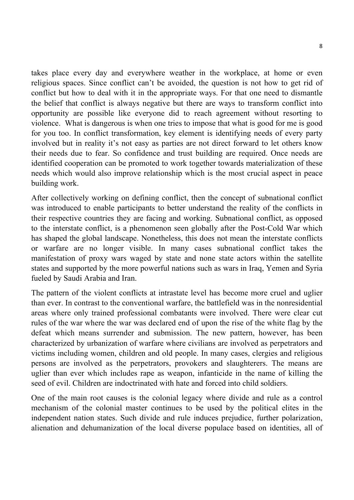takes place every day and everywhere weather in the workplace, at home or even religious spaces. Since conflict can't be avoided, the question is not how to get rid of conflict but how to deal with it in the appropriate ways. For that one need to dismantle the belief that conflict is always negative but there are ways to transform conflict into opportunity are possible like everyone did to reach agreement without resorting to violence. What is dangerous is when one tries to impose that what is good for me is good for you too. In conflict transformation, key element is identifying needs of every party involved but in reality it's not easy as parties are not direct forward to let others know their needs due to fear. So confidence and trust building are required. Once needs are identified cooperation can be promoted to work together towards materialization of these needs which would also improve relationship which is the most crucial aspect in peace building work.

After collectively working on defining conflict, then the concept of subnational conflict was introduced to enable participants to better understand the reality of the conflicts in their respective countries they are facing and working. Subnational conflict, as opposed to the interstate conflict, is a phenomenon seen globally after the Post-Cold War which has shaped the global landscape. Nonetheless, this does not mean the interstate conflicts or warfare are no longer visible. In many cases subnational conflict takes the manifestation of proxy wars waged by state and none state actors within the satellite states and supported by the more powerful nations such as wars in Iraq, Yemen and Syria fueled by Saudi Arabia and Iran.

The pattern of the violent conflicts at intrastate level has become more cruel and uglier than ever. In contrast to the conventional warfare, the battlefield was in the nonresidential areas where only trained professional combatants were involved. There were clear cut rules of the war where the war was declared end of upon the rise of the white flag by the defeat which means surrender and submission. The new pattern, however, has been characterized by urbanization of warfare where civilians are involved as perpetrators and victims including women, children and old people. In many cases, clergies and religious persons are involved as the perpetrators, provokers and slaughterers. The means are uglier than ever which includes rape as weapon, infanticide in the name of killing the seed of evil. Children are indoctrinated with hate and forced into child soldiers.

One of the main root causes is the colonial legacy where divide and rule as a control mechanism of the colonial master continues to be used by the political elites in the independent nation states. Such divide and rule induces prejudice, further polarization, alienation and dehumanization of the local diverse populace based on identities, all of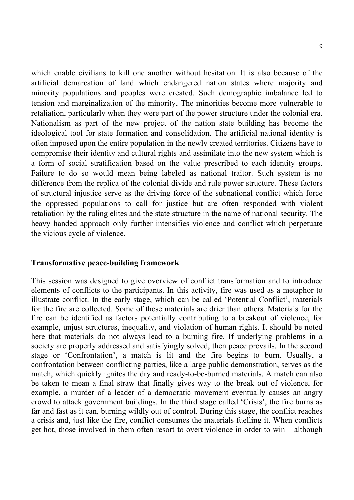which enable civilians to kill one another without hesitation. It is also because of the artificial demarcation of land which endangered nation states where majority and minority populations and peoples were created. Such demographic imbalance led to tension and marginalization of the minority. The minorities become more vulnerable to retaliation, particularly when they were part of the power structure under the colonial era. Nationalism as part of the new project of the nation state building has become the ideological tool for state formation and consolidation. The artificial national identity is often imposed upon the entire population in the newly created territories. Citizens have to compromise their identity and cultural rights and assimilate into the new system which is a form of social stratification based on the value prescribed to each identity groups. Failure to do so would mean being labeled as national traitor. Such system is no difference from the replica of the colonial divide and rule power structure. These factors of structural injustice serve as the driving force of the subnational conflict which force the oppressed populations to call for justice but are often responded with violent retaliation by the ruling elites and the state structure in the name of national security. The heavy handed approach only further intensifies violence and conflict which perpetuate the vicious cycle of violence.

#### **Transformative peace-building framework**

This session was designed to give overview of conflict transformation and to introduce elements of conflicts to the participants. In this activity, fire was used as a metaphor to illustrate conflict. In the early stage, which can be called 'Potential Conflict', materials for the fire are collected. Some of these materials are drier than others. Materials for the fire can be identified as factors potentially contributing to a breakout of violence, for example, unjust structures, inequality, and violation of human rights. It should be noted here that materials do not always lead to a burning fire. If underlying problems in a society are properly addressed and satisfyingly solved, then peace prevails. In the second stage or 'Confrontation', a match is lit and the fire begins to burn. Usually, a confrontation between conflicting parties, like a large public demonstration, serves as the match, which quickly ignites the dry and ready-to-be-burned materials. A match can also be taken to mean a final straw that finally gives way to the break out of violence, for example, a murder of a leader of a democratic movement eventually causes an angry crowd to attack government buildings. In the third stage called 'Crisis', the fire burns as far and fast as it can, burning wildly out of control. During this stage, the conflict reaches a crisis and, just like the fire, conflict consumes the materials fuelling it. When conflicts get hot, those involved in them often resort to overt violence in order to win – although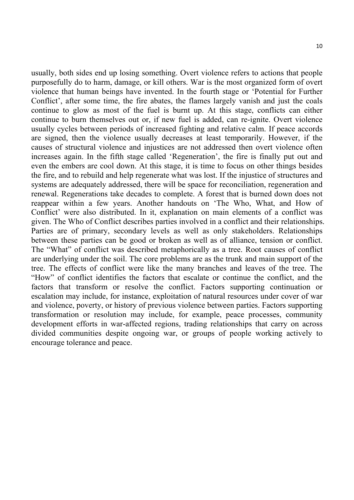usually, both sides end up losing something. Overt violence refers to actions that people purposefully do to harm, damage, or kill others. War is the most organized form of overt violence that human beings have invented. In the fourth stage or 'Potential for Further Conflict', after some time, the fire abates, the flames largely vanish and just the coals continue to glow as most of the fuel is burnt up. At this stage, conflicts can either continue to burn themselves out or, if new fuel is added, can re-ignite. Overt violence usually cycles between periods of increased fighting and relative calm. If peace accords are signed, then the violence usually decreases at least temporarily. However, if the causes of structural violence and injustices are not addressed then overt violence often increases again. In the fifth stage called 'Regeneration', the fire is finally put out and even the embers are cool down. At this stage, it is time to focus on other things besides the fire, and to rebuild and help regenerate what was lost. If the injustice of structures and systems are adequately addressed, there will be space for reconciliation, regeneration and renewal. Regenerations take decades to complete. A forest that is burned down does not reappear within a few years. Another handouts on 'The Who, What, and How of Conflict' were also distributed. In it, explanation on main elements of a conflict was given. The Who of Conflict describes parties involved in a conflict and their relationships. Parties are of primary, secondary levels as well as only stakeholders. Relationships between these parties can be good or broken as well as of alliance, tension or conflict. The "What" of conflict was described metaphorically as a tree. Root causes of conflict are underlying under the soil. The core problems are as the trunk and main support of the tree. The effects of conflict were like the many branches and leaves of the tree. The "How" of conflict identifies the factors that escalate or continue the conflict, and the factors that transform or resolve the conflict. Factors supporting continuation or escalation may include, for instance, exploitation of natural resources under cover of war and violence, poverty, or history of previous violence between parties. Factors supporting transformation or resolution may include, for example, peace processes, community development efforts in war-affected regions, trading relationships that carry on across divided communities despite ongoing war, or groups of people working actively to encourage tolerance and peace.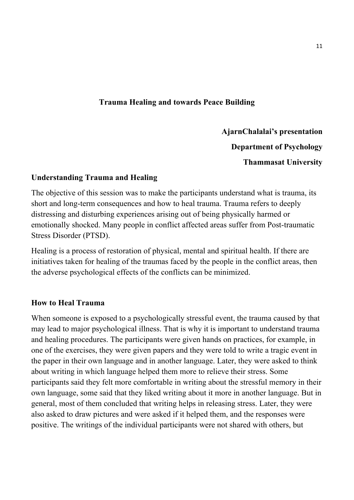### **Trauma Healing and towards Peace Building**

**AjarnChalalai's presentation Department of Psychology Thammasat University** 

### **Understanding Trauma and Healing**

The objective of this session was to make the participants understand what is trauma, its short and long-term consequences and how to heal trauma. Trauma refers to deeply distressing and disturbing experiences arising out of being physically harmed or emotionally shocked. Many people in conflict affected areas suffer from Post-traumatic Stress Disorder (PTSD).

Healing is a process of restoration of physical, mental and spiritual health. If there are initiatives taken for healing of the traumas faced by the people in the conflict areas, then the adverse psychological effects of the conflicts can be minimized.

### **How to Heal Trauma**

When someone is exposed to a psychologically stressful event, the trauma caused by that may lead to major psychological illness. That is why it is important to understand trauma and healing procedures. The participants were given hands on practices, for example, in one of the exercises, they were given papers and they were told to write a tragic event in the paper in their own language and in another language. Later, they were asked to think about writing in which language helped them more to relieve their stress. Some participants said they felt more comfortable in writing about the stressful memory in their own language, some said that they liked writing about it more in another language. But in general, most of them concluded that writing helps in releasing stress. Later, they were also asked to draw pictures and were asked if it helped them, and the responses were positive. The writings of the individual participants were not shared with others, but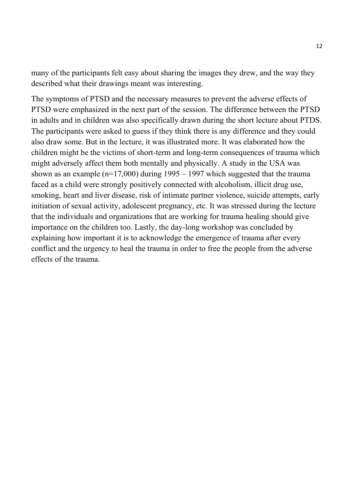many of the participants felt easy about sharing the images they drew, and the way they described what their drawings meant was interesting.

The symptoms of PTSD and the necessary measures to prevent the adverse effects of PTSD were emphasized in the next part of the session. The difference between the PTSD in adults and in children was also specifically drawn during the short lecture about PTDS. The participants were asked to guess if they think there is any difference and they could also draw some. But in the lecture, it was illustrated more. It was elaborated how the children might be the victims of short-term and long-term consequences of trauma which might adversely affect them both mentally and physically. A study in the USA was shown as an example ( $n=17,000$ ) during 1995 – 1997 which suggested that the trauma faced as a child were strongly positively connected with alcoholism, illicit drug use, smoking, heart and liver disease, risk of intimate partner violence, suicide attempts, early initiation of sexual activity, adolescent pregnancy, etc. It was stressed during the lecture that the individuals and organizations that are working for trauma healing should give importance on the children too. Lastly, the day-long workshop was concluded by explaining how important it is to acknowledge the emergence of trauma after every conflict and the urgency to heal the trauma in order to free the people from the adverse effects of the trauma.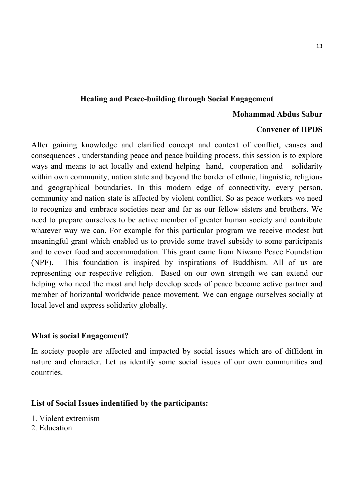### **Healing and Peace-building through Social Engagement**

#### **Mohammad Abdus Sabur**

#### **Convener of IIPDS**

After gaining knowledge and clarified concept and context of conflict, causes and consequences , understanding peace and peace building process, this session is to explore ways and means to act locally and extend helping hand, cooperation and solidarity within own community, nation state and beyond the border of ethnic, linguistic, religious and geographical boundaries. In this modern edge of connectivity, every person, community and nation state is affected by violent conflict. So as peace workers we need to recognize and embrace societies near and far as our fellow sisters and brothers. We need to prepare ourselves to be active member of greater human society and contribute whatever way we can. For example for this particular program we receive modest but meaningful grant which enabled us to provide some travel subsidy to some participants and to cover food and accommodation. This grant came from Niwano Peace Foundation (NPF). This foundation is inspired by inspirations of Buddhism. All of us are representing our respective religion. Based on our own strength we can extend our helping who need the most and help develop seeds of peace become active partner and member of horizontal worldwide peace movement. We can engage ourselves socially at local level and express solidarity globally.

### **What is social Engagement?**

In society people are affected and impacted by social issues which are of diffident in nature and character. Let us identify some social issues of our own communities and countries.

#### **List of Social Issues indentified by the participants:**

- 1. Violent extremism
- 2. Education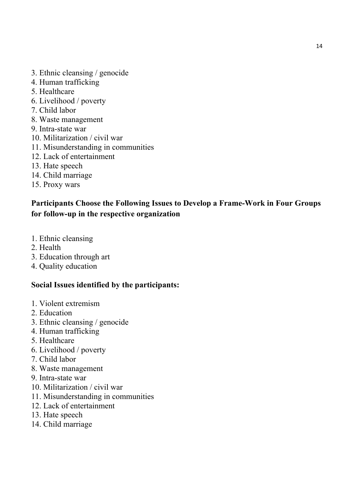- 3. Ethnic cleansing / genocide
- 4. Human trafficking
- 5. Healthcare
- 6. Livelihood / poverty
- 7. Child labor
- 8. Waste management
- 9. Intra-state war
- 10. Militarization / civil war
- 11. Misunderstanding in communities
- 12. Lack of entertainment
- 13. Hate speech
- 14. Child marriage
- 15. Proxy wars

# **Participants Choose the Following Issues to Develop a Frame-Work in Four Groups for follow-up in the respective organization**

- 1. Ethnic cleansing
- 2. Health
- 3. Education through art
- 4. Quality education

# **Social Issues identified by the participants:**

- 1. Violent extremism
- 2. Education
- 3. Ethnic cleansing / genocide
- 4. Human trafficking
- 5. Healthcare
- 6. Livelihood / poverty
- 7. Child labor
- 8. Waste management
- 9. Intra-state war
- 10. Militarization / civil war
- 11. Misunderstanding in communities
- 12. Lack of entertainment
- 13. Hate speech
- 14. Child marriage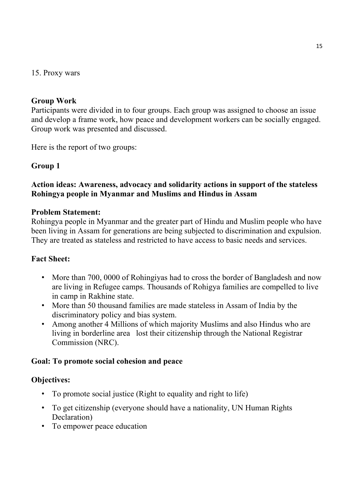### 15. Proxy wars

### **Group Work**

Participants were divided in to four groups. Each group was assigned to choose an issue and develop a frame work, how peace and development workers can be socially engaged. Group work was presented and discussed.

Here is the report of two groups:

### **Group 1**

### **Action ideas: Awareness, advocacy and solidarity actions in support of the stateless Rohingya people in Myanmar and Muslims and Hindus in Assam**

#### **Problem Statement:**

Rohingya people in Myanmar and the greater part of Hindu and Muslim people who have been living in Assam for generations are being subjected to discrimination and expulsion. They are treated as stateless and restricted to have access to basic needs and services.

### **Fact Sheet:**

- More than 700, 0000 of Rohingiyas had to cross the border of Bangladesh and now are living in Refugee camps. Thousands of Rohigya families are compelled to live in camp in Rakhine state.
- More than 50 thousand families are made stateless in Assam of India by the discriminatory policy and bias system.
- Among another 4 Millions of which majority Muslims and also Hindus who are living in borderline area lost their citizenship through the National Registrar Commission (NRC).

### **Goal: To promote social cohesion and peace**

### **Objectives:**

- To promote social justice (Right to equality and right to life)
- To get citizenship (everyone should have a nationality, UN Human Rights Declaration)
- To empower peace education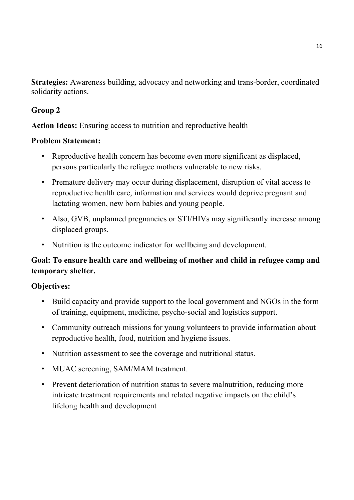**Strategies:** Awareness building, advocacy and networking and trans-border, coordinated solidarity actions.

# **Group 2**

**Action Ideas:** Ensuring access to nutrition and reproductive health

# **Problem Statement:**

- Reproductive health concern has become even more significant as displaced, persons particularly the refugee mothers vulnerable to new risks.
- Premature delivery may occur during displacement, disruption of vital access to reproductive health care, information and services would deprive pregnant and lactating women, new born babies and young people.
- Also, GVB, unplanned pregnancies or STI/HIVs may significantly increase among displaced groups.
- Nutrition is the outcome indicator for wellbeing and development.

# **Goal: To ensure health care and wellbeing of mother and child in refugee camp and temporary shelter.**

# **Objectives:**

- Build capacity and provide support to the local government and NGOs in the form of training, equipment, medicine, psycho-social and logistics support.
- Community outreach missions for young volunteers to provide information about reproductive health, food, nutrition and hygiene issues.
- Nutrition assessment to see the coverage and nutritional status.
- MUAC screening, SAM/MAM treatment.
- Prevent deterioration of nutrition status to severe malnutrition, reducing more intricate treatment requirements and related negative impacts on the child's lifelong health and development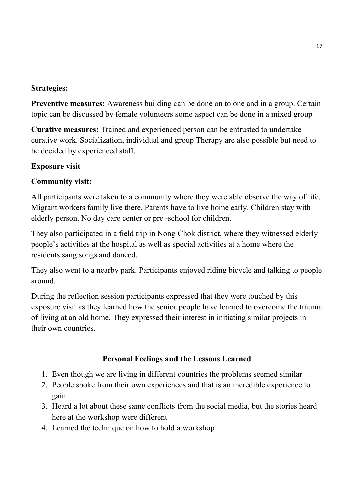### **Strategies:**

**Preventive measures:** Awareness building can be done on to one and in a group. Certain topic can be discussed by female volunteers some aspect can be done in a mixed group

**Curative measures:** Trained and experienced person can be entrusted to undertake curative work. Socialization, individual and group Therapy are also possible but need to be decided by experienced staff.

### **Exposure visit**

### **Community visit:**

All participants were taken to a community where they were able observe the way of life. Migrant workers family live there. Parents have to live home early. Children stay with elderly person. No day care center or pre -school for children.

They also participated in a field trip in Nong Chok district, where they witnessed elderly people's activities at the hospital as well as special activities at a home where the residents sang songs and danced.

They also went to a nearby park. Participants enjoyed riding bicycle and talking to people around.

During the reflection session participants expressed that they were touched by this exposure visit as they learned how the senior people have learned to overcome the trauma of living at an old home. They expressed their interest in initiating similar projects in their own countries.

### **Personal Feelings and the Lessons Learned**

- 1. Even though we are living in different countries the problems seemed similar
- 2. People spoke from their own experiences and that is an incredible experience to gain
- 3. Heard a lot about these same conflicts from the social media, but the stories heard here at the workshop were different
- 4. Learned the technique on how to hold a workshop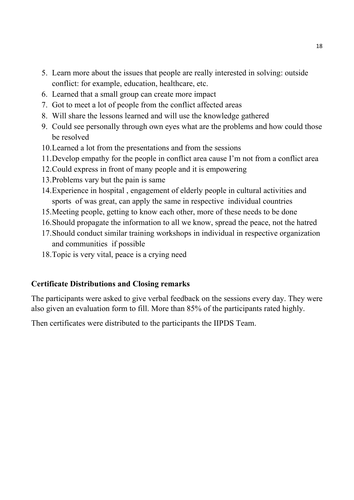- 5. Learn more about the issues that people are really interested in solving: outside conflict: for example, education, healthcare, etc.
- 6. Learned that a small group can create more impact
- 7. Got to meet a lot of people from the conflict affected areas
- 8. Will share the lessons learned and will use the knowledge gathered
- 9. Could see personally through own eyes what are the problems and how could those be resolved
- 10.Learned a lot from the presentations and from the sessions
- 11.Develop empathy for the people in conflict area cause I'm not from a conflict area
- 12.Could express in front of many people and it is empowering
- 13.Problems vary but the pain is same
- 14.Experience in hospital , engagement of elderly people in cultural activities and sports of was great, can apply the same in respective individual countries
- 15.Meeting people, getting to know each other, more of these needs to be done
- 16.Should propagate the information to all we know, spread the peace, not the hatred
- 17.Should conduct similar training workshops in individual in respective organization and communities if possible
- 18.Topic is very vital, peace is a crying need

### **Certificate Distributions and Closing remarks**

The participants were asked to give verbal feedback on the sessions every day. They were also given an evaluation form to fill. More than 85% of the participants rated highly.

Then certificates were distributed to the participants the IIPDS Team.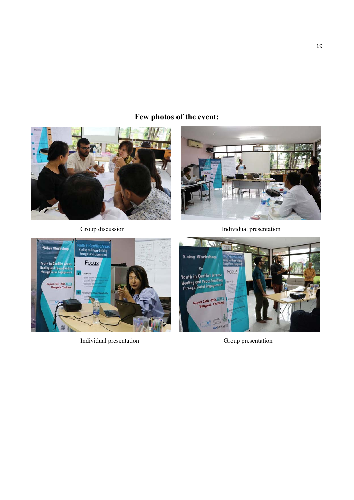# **Few photos of the event:**





Group discussion **Individual** presentation



Individual presentation Group presentation

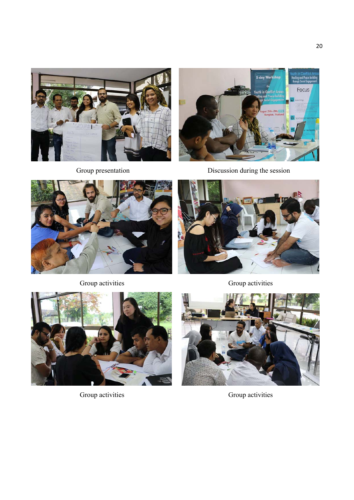





Group presentation Discussion during the session



Group activities Group activities







Group activities Group activities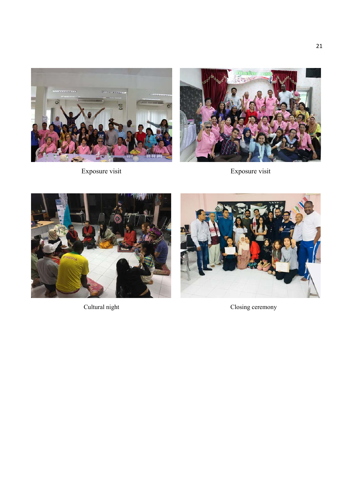



Exposure visit Exposure visit







Cultural night Closing ceremony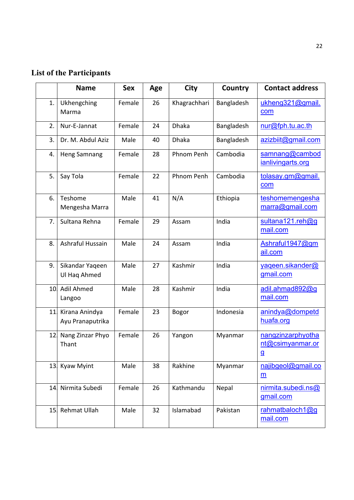# **List of the Participants**

|     | <b>Name</b>                        | <b>Sex</b> | Age | <b>City</b>  | Country    | <b>Contact address</b>                                |
|-----|------------------------------------|------------|-----|--------------|------------|-------------------------------------------------------|
| 1.  | Ukhengching<br>Marma               | Female     | 26  | Khagrachhari | Bangladesh | ukheng321@gmail.<br>com                               |
| 2.  | Nur-E-Jannat                       | Female     | 24  | <b>Dhaka</b> | Bangladesh | nur@fph.tu.ac.th                                      |
| 3.  | Dr. M. Abdul Aziz                  | Male       | 40  | <b>Dhaka</b> | Bangladesh | azizbiit@gmail.com                                    |
| 4.  | <b>Heng Samnang</b>                | Female     | 28  | Phnom Penh   | Cambodia   | samnang@cambod<br>ianlivingarts.org                   |
| 5.  | Say Tola                           | Female     | 22  | Phnom Penh   | Cambodia   | tolasay.gm@gmail.<br>com                              |
| 6.  | Teshome<br>Mengesha Marra          | Male       | 41  | N/A          | Ethiopia   | teshomemengesha<br>marra@gmail.com                    |
| 7.  | Sultana Rehna                      | Female     | 29  | Assam        | India      | sultana121.reh@g<br>mail.com                          |
| 8.  | Ashraful Hussain                   | Male       | 24  | Assam        | India      | Ashraful1947@gm<br>ail.com                            |
| 9.  | Sikandar Yaqeen<br>Ul Haq Ahmed    | Male       | 27  | Kashmir      | India      | yaqeen.sikander@<br>gmail.com                         |
| 10. | Adil Ahmed<br>Langoo               | Male       | 28  | Kashmir      | India      | adil.ahmad892@g<br>mail.com                           |
| 11  | Kirana Anindya<br>Ayu Pranaputrika | Female     | 23  | <b>Bogor</b> | Indonesia  | anindya@dompetd<br>huafa.org                          |
| 12. | Nang Zinzar Phyo<br>Thant          | Female     | 26  | Yangon       | Myanmar    | nangzinzarphyotha<br>nt@csimyanmar.or<br>$\mathbf{g}$ |
|     | 13. Kyaw Myint                     | Male       | 38  | Rakhine      | Myanmar    | najibgeol@gmail.co<br>$\underline{m}$                 |
|     | 14 Nirmita Subedi                  | Female     | 26  | Kathmandu    | Nepal      | nirmita.subedi.ns@<br>gmail.com                       |
|     | 15 Rehmat Ullah                    | Male       | 32  | Islamabad    | Pakistan   | rahmatbaloch1@g<br>mail.com                           |